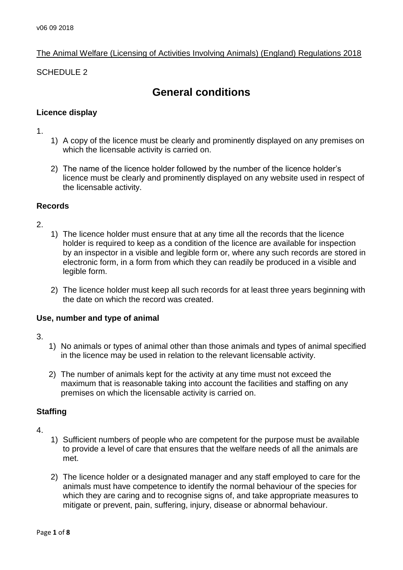# The Animal Welfare (Licensing of Activities Involving Animals) (England) Regulations 2018

## SCHEDULE 2

# **General conditions**

## **Licence display**

#### 1.

- 1) A copy of the licence must be clearly and prominently displayed on any premises on which the licensable activity is carried on.
- 2) The name of the licence holder followed by the number of the licence holder's licence must be clearly and prominently displayed on any website used in respect of the licensable activity.

### **Records**

## 2.

- 1) The licence holder must ensure that at any time all the records that the licence holder is required to keep as a condition of the licence are available for inspection by an inspector in a visible and legible form or, where any such records are stored in electronic form, in a form from which they can readily be produced in a visible and legible form.
- 2) The licence holder must keep all such records for at least three years beginning with the date on which the record was created.

## **Use, number and type of animal**

- 3.
- 1) No animals or types of animal other than those animals and types of animal specified in the licence may be used in relation to the relevant licensable activity.
- 2) The number of animals kept for the activity at any time must not exceed the maximum that is reasonable taking into account the facilities and staffing on any premises on which the licensable activity is carried on.

### **Staffing**

- 4.
- 1) Sufficient numbers of people who are competent for the purpose must be available to provide a level of care that ensures that the welfare needs of all the animals are met.
- 2) The licence holder or a designated manager and any staff employed to care for the animals must have competence to identify the normal behaviour of the species for which they are caring and to recognise signs of, and take appropriate measures to mitigate or prevent, pain, suffering, injury, disease or abnormal behaviour.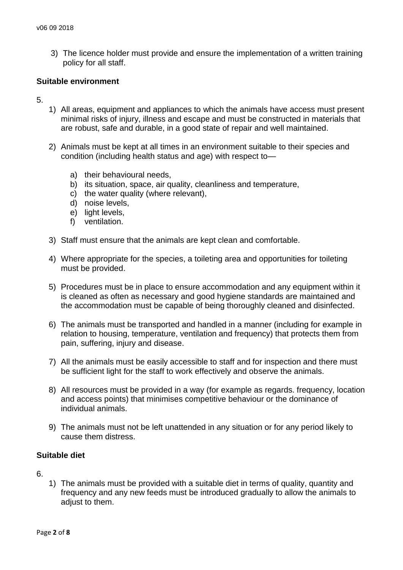3) The licence holder must provide and ensure the implementation of a written training policy for all staff.

### **Suitable environment**

- 5.
- 1) All areas, equipment and appliances to which the animals have access must present minimal risks of injury, illness and escape and must be constructed in materials that are robust, safe and durable, in a good state of repair and well maintained.
- 2) Animals must be kept at all times in an environment suitable to their species and condition (including health status and age) with respect to
	- a) their behavioural needs,
	- b) its situation, space, air quality, cleanliness and temperature,
	- c) the water quality (where relevant),
	- d) noise levels,
	- e) light levels,
	- f) ventilation.
- 3) Staff must ensure that the animals are kept clean and comfortable.
- 4) Where appropriate for the species, a toileting area and opportunities for toileting must be provided.
- 5) Procedures must be in place to ensure accommodation and any equipment within it is cleaned as often as necessary and good hygiene standards are maintained and the accommodation must be capable of being thoroughly cleaned and disinfected.
- 6) The animals must be transported and handled in a manner (including for example in relation to housing, temperature, ventilation and frequency) that protects them from pain, suffering, injury and disease.
- 7) All the animals must be easily accessible to staff and for inspection and there must be sufficient light for the staff to work effectively and observe the animals.
- 8) All resources must be provided in a way (for example as regards. frequency, location and access points) that minimises competitive behaviour or the dominance of individual animals.
- 9) The animals must not be left unattended in any situation or for any period likely to cause them distress.

# **Suitable diet**

6.

1) The animals must be provided with a suitable diet in terms of quality, quantity and frequency and any new feeds must be introduced gradually to allow the animals to adiust to them.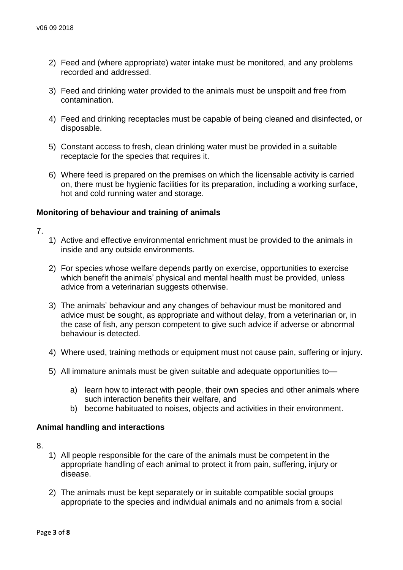- 2) Feed and (where appropriate) water intake must be monitored, and any problems recorded and addressed.
- 3) Feed and drinking water provided to the animals must be unspoilt and free from contamination.
- 4) Feed and drinking receptacles must be capable of being cleaned and disinfected, or disposable.
- 5) Constant access to fresh, clean drinking water must be provided in a suitable receptacle for the species that requires it.
- 6) Where feed is prepared on the premises on which the licensable activity is carried on, there must be hygienic facilities for its preparation, including a working surface, hot and cold running water and storage.

### **Monitoring of behaviour and training of animals**

- 7.
- 1) Active and effective environmental enrichment must be provided to the animals in inside and any outside environments.
- 2) For species whose welfare depends partly on exercise, opportunities to exercise which benefit the animals' physical and mental health must be provided, unless advice from a veterinarian suggests otherwise.
- 3) The animals' behaviour and any changes of behaviour must be monitored and advice must be sought, as appropriate and without delay, from a veterinarian or, in the case of fish, any person competent to give such advice if adverse or abnormal behaviour is detected.
- 4) Where used, training methods or equipment must not cause pain, suffering or injury.
- 5) All immature animals must be given suitable and adequate opportunities to
	- a) learn how to interact with people, their own species and other animals where such interaction benefits their welfare, and
	- b) become habituated to noises, objects and activities in their environment.

### **Animal handling and interactions**

8.

- 1) All people responsible for the care of the animals must be competent in the appropriate handling of each animal to protect it from pain, suffering, injury or disease.
- 2) The animals must be kept separately or in suitable compatible social groups appropriate to the species and individual animals and no animals from a social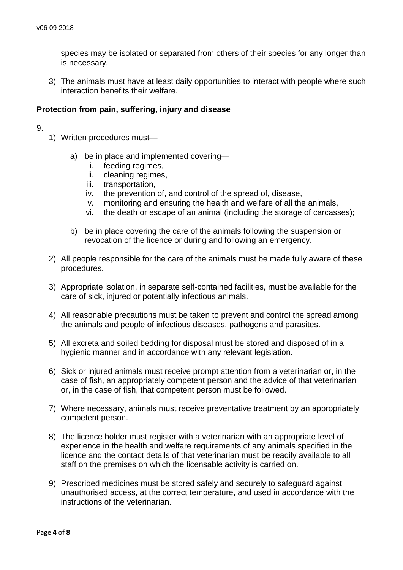species may be isolated or separated from others of their species for any longer than is necessary.

3) The animals must have at least daily opportunities to interact with people where such interaction benefits their welfare.

#### **Protection from pain, suffering, injury and disease**

- 9.
- 1) Written procedures must
	- a) be in place and implemented covering
		- i. feeding regimes,
		- ii. cleaning regimes,
		- iii. transportation,
		- iv. the prevention of, and control of the spread of, disease,
		- v. monitoring and ensuring the health and welfare of all the animals,
		- vi. the death or escape of an animal (including the storage of carcasses);
	- b) be in place covering the care of the animals following the suspension or revocation of the licence or during and following an emergency.
- 2) All people responsible for the care of the animals must be made fully aware of these procedures.
- 3) Appropriate isolation, in separate self-contained facilities, must be available for the care of sick, injured or potentially infectious animals.
- 4) All reasonable precautions must be taken to prevent and control the spread among the animals and people of infectious diseases, pathogens and parasites.
- 5) All excreta and soiled bedding for disposal must be stored and disposed of in a hygienic manner and in accordance with any relevant legislation.
- 6) Sick or injured animals must receive prompt attention from a veterinarian or, in the case of fish, an appropriately competent person and the advice of that veterinarian or, in the case of fish, that competent person must be followed.
- 7) Where necessary, animals must receive preventative treatment by an appropriately competent person.
- 8) The licence holder must register with a veterinarian with an appropriate level of experience in the health and welfare requirements of any animals specified in the licence and the contact details of that veterinarian must be readily available to all staff on the premises on which the licensable activity is carried on.
- 9) Prescribed medicines must be stored safely and securely to safeguard against unauthorised access, at the correct temperature, and used in accordance with the instructions of the veterinarian.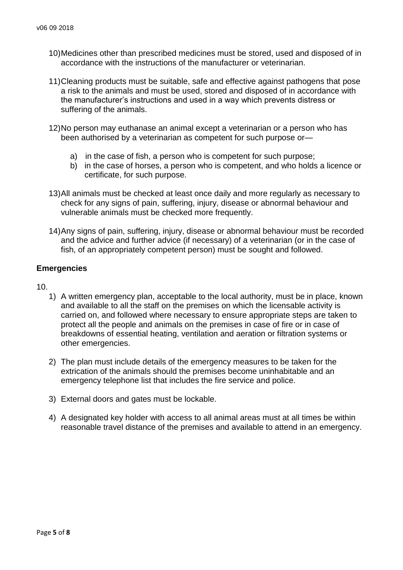- 10)Medicines other than prescribed medicines must be stored, used and disposed of in accordance with the instructions of the manufacturer or veterinarian.
- 11)Cleaning products must be suitable, safe and effective against pathogens that pose a risk to the animals and must be used, stored and disposed of in accordance with the manufacturer's instructions and used in a way which prevents distress or suffering of the animals.
- 12)No person may euthanase an animal except a veterinarian or a person who has been authorised by a veterinarian as competent for such purpose or
	- a) in the case of fish, a person who is competent for such purpose;
	- b) in the case of horses, a person who is competent, and who holds a licence or certificate, for such purpose.
- 13)All animals must be checked at least once daily and more regularly as necessary to check for any signs of pain, suffering, injury, disease or abnormal behaviour and vulnerable animals must be checked more frequently.
- 14)Any signs of pain, suffering, injury, disease or abnormal behaviour must be recorded and the advice and further advice (if necessary) of a veterinarian (or in the case of fish, of an appropriately competent person) must be sought and followed.

### **Emergencies**

- 10.
	- 1) A written emergency plan, acceptable to the local authority, must be in place, known and available to all the staff on the premises on which the licensable activity is carried on, and followed where necessary to ensure appropriate steps are taken to protect all the people and animals on the premises in case of fire or in case of breakdowns of essential heating, ventilation and aeration or filtration systems or other emergencies.
	- 2) The plan must include details of the emergency measures to be taken for the extrication of the animals should the premises become uninhabitable and an emergency telephone list that includes the fire service and police.
	- 3) External doors and gates must be lockable.
	- 4) A designated key holder with access to all animal areas must at all times be within reasonable travel distance of the premises and available to attend in an emergency.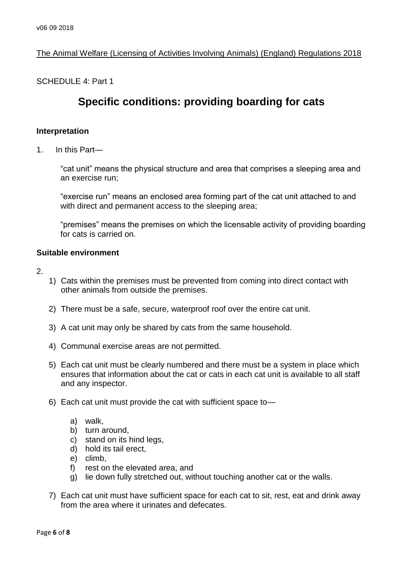# The Animal Welfare (Licensing of Activities Involving Animals) (England) Regulations 2018

SCHEDULE 4: Part 1

# **Specific conditions: providing boarding for cats**

#### **Interpretation**

1. In this Part—

"cat unit" means the physical structure and area that comprises a sleeping area and an exercise run;

"exercise run" means an enclosed area forming part of the cat unit attached to and with direct and permanent access to the sleeping area:

"premises" means the premises on which the licensable activity of providing boarding for cats is carried on.

## **Suitable environment**

2.

- 1) Cats within the premises must be prevented from coming into direct contact with other animals from outside the premises.
- 2) There must be a safe, secure, waterproof roof over the entire cat unit.
- 3) A cat unit may only be shared by cats from the same household.
- 4) Communal exercise areas are not permitted.
- 5) Each cat unit must be clearly numbered and there must be a system in place which ensures that information about the cat or cats in each cat unit is available to all staff and any inspector.
- 6) Each cat unit must provide the cat with sufficient space to
	- a) walk,
	- b) turn around,
	- c) stand on its hind legs,
	- d) hold its tail erect,
	- e) climb,
	- f) rest on the elevated area, and
	- g) lie down fully stretched out, without touching another cat or the walls.
- 7) Each cat unit must have sufficient space for each cat to sit, rest, eat and drink away from the area where it urinates and defecates.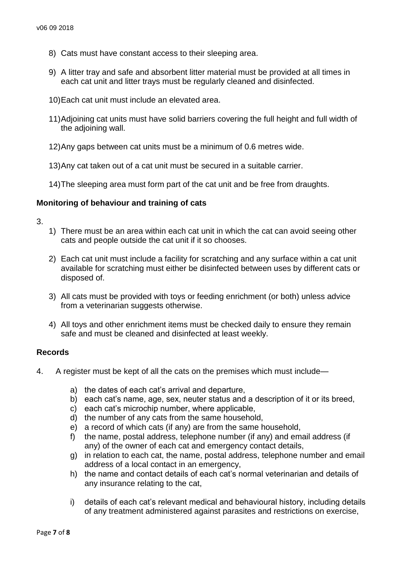- 8) Cats must have constant access to their sleeping area.
- 9) A litter tray and safe and absorbent litter material must be provided at all times in each cat unit and litter trays must be regularly cleaned and disinfected.
- 10)Each cat unit must include an elevated area.
- 11)Adjoining cat units must have solid barriers covering the full height and full width of the adjoining wall.
- 12)Any gaps between cat units must be a minimum of 0.6 metres wide.
- 13)Any cat taken out of a cat unit must be secured in a suitable carrier.
- 14)The sleeping area must form part of the cat unit and be free from draughts.

#### **Monitoring of behaviour and training of cats**

- 3.
- 1) There must be an area within each cat unit in which the cat can avoid seeing other cats and people outside the cat unit if it so chooses.
- 2) Each cat unit must include a facility for scratching and any surface within a cat unit available for scratching must either be disinfected between uses by different cats or disposed of.
- 3) All cats must be provided with toys or feeding enrichment (or both) unless advice from a veterinarian suggests otherwise.
- 4) All toys and other enrichment items must be checked daily to ensure they remain safe and must be cleaned and disinfected at least weekly.

### **Records**

- 4. A register must be kept of all the cats on the premises which must include
	- a) the dates of each cat's arrival and departure,
	- b) each cat's name, age, sex, neuter status and a description of it or its breed,
	- c) each cat's microchip number, where applicable,
	- d) the number of any cats from the same household,
	- e) a record of which cats (if any) are from the same household,
	- f) the name, postal address, telephone number (if any) and email address (if any) of the owner of each cat and emergency contact details,
	- g) in relation to each cat, the name, postal address, telephone number and email address of a local contact in an emergency,
	- h) the name and contact details of each cat's normal veterinarian and details of any insurance relating to the cat,
	- i) details of each cat's relevant medical and behavioural history, including details of any treatment administered against parasites and restrictions on exercise,